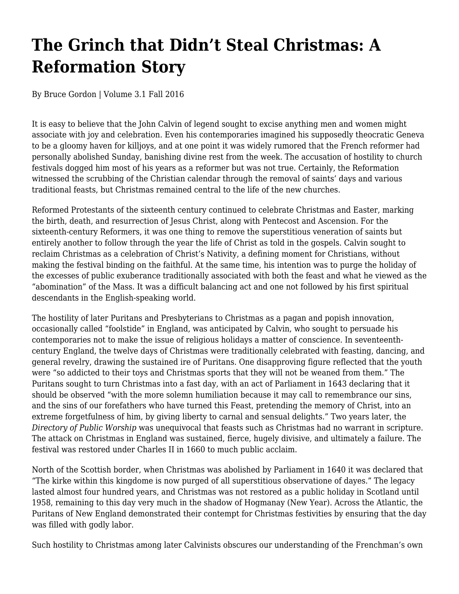## **The Grinch that Didn't Steal Christmas: A Reformation Story**

By Bruce Gordon | Volume 3.1 Fall 2016

It is easy to believe that the John Calvin of legend sought to excise anything men and women might associate with joy and celebration. Even his contemporaries imagined his supposedly theocratic Geneva to be a gloomy haven for killjoys, and at one point it was widely rumored that the French reformer had personally abolished Sunday, banishing divine rest from the week. The accusation of hostility to church festivals dogged him most of his years as a reformer but was not true. Certainly, the Reformation witnessed the scrubbing of the Christian calendar through the removal of saints' days and various traditional feasts, but Christmas remained central to the life of the new churches.

Reformed Protestants of the sixteenth century continued to celebrate Christmas and Easter, marking the birth, death, and resurrection of Jesus Christ, along with Pentecost and Ascension. For the sixteenth-century Reformers, it was one thing to remove the superstitious veneration of saints but entirely another to follow through the year the life of Christ as told in the gospels. Calvin sought to reclaim Christmas as a celebration of Christ's Nativity, a defining moment for Christians, without making the festival binding on the faithful. At the same time, his intention was to purge the holiday of the excesses of public exuberance traditionally associated with both the feast and what he viewed as the "abomination" of the Mass. It was a difficult balancing act and one not followed by his first spiritual descendants in the English-speaking world.

The hostility of later Puritans and Presbyterians to Christmas as a pagan and popish innovation, occasionally called "foolstide" in England, was anticipated by Calvin, who sought to persuade his contemporaries not to make the issue of religious holidays a matter of conscience. In seventeenthcentury England, the twelve days of Christmas were traditionally celebrated with feasting, dancing, and general revelry, drawing the sustained ire of Puritans. One disapproving figure reflected that the youth were "so addicted to their toys and Christmas sports that they will not be weaned from them." The Puritans sought to turn Christmas into a fast day, with an act of Parliament in 1643 declaring that it should be observed "with the more solemn humiliation because it may call to remembrance our sins, and the sins of our forefathers who have turned this Feast, pretending the memory of Christ, into an extreme forgetfulness of him, by giving liberty to carnal and sensual delights." Two years later, the *Directory of Public Worship* was unequivocal that feasts such as Christmas had no warrant in scripture. The attack on Christmas in England was sustained, fierce, hugely divisive, and ultimately a failure. The festival was restored under Charles II in 1660 to much public acclaim.

North of the Scottish border, when Christmas was abolished by Parliament in 1640 it was declared that "The kirke within this kingdome is now purged of all superstitious observatione of dayes." The legacy lasted almost four hundred years, and Christmas was not restored as a public holiday in Scotland until 1958, remaining to this day very much in the shadow of Hogmanay (New Year). Across the Atlantic, the Puritans of New England demonstrated their contempt for Christmas festivities by ensuring that the day was filled with godly labor.

Such hostility to Christmas among later Calvinists obscures our understanding of the Frenchman's own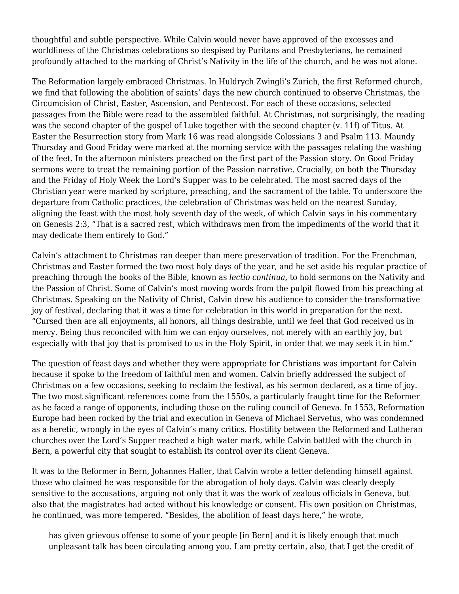thoughtful and subtle perspective. While Calvin would never have approved of the excesses and worldliness of the Christmas celebrations so despised by Puritans and Presbyterians, he remained profoundly attached to the marking of Christ's Nativity in the life of the church, and he was not alone.

The Reformation largely embraced Christmas. In Huldrych Zwingli's Zurich, the first Reformed church, we find that following the abolition of saints' days the new church continued to observe Christmas, the Circumcision of Christ, Easter, Ascension, and Pentecost. For each of these occasions, selected passages from the Bible were read to the assembled faithful. At Christmas, not surprisingly, the reading was the second chapter of the gospel of Luke together with the second chapter (v. 11f) of Titus. At Easter the Resurrection story from Mark 16 was read alongside Colossians 3 and Psalm 113. Maundy Thursday and Good Friday were marked at the morning service with the passages relating the washing of the feet. In the afternoon ministers preached on the first part of the Passion story. On Good Friday sermons were to treat the remaining portion of the Passion narrative. Crucially, on both the Thursday and the Friday of Holy Week the Lord's Supper was to be celebrated. The most sacred days of the Christian year were marked by scripture, preaching, and the sacrament of the table. To underscore the departure from Catholic practices, the celebration of Christmas was held on the nearest Sunday, aligning the feast with the most holy seventh day of the week, of which Calvin says in his commentary on Genesis 2:3, "That is a sacred rest, which withdraws men from the impediments of the world that it may dedicate them entirely to God."

Calvin's attachment to Christmas ran deeper than mere preservation of tradition. For the Frenchman, Christmas and Easter formed the two most holy days of the year, and he set aside his regular practice of preaching through the books of the Bible, known as *lectio continua*, to hold sermons on the Nativity and the Passion of Christ. Some of Calvin's most moving words from the pulpit flowed from his preaching at Christmas. Speaking on the Nativity of Christ, Calvin drew his audience to consider the transformative joy of festival, declaring that it was a time for celebration in this world in preparation for the next. "Cursed then are all enjoyments, all honors, all things desirable, until we feel that God received us in mercy. Being thus reconciled with him we can enjoy ourselves, not merely with an earthly joy, but especially with that joy that is promised to us in the Holy Spirit, in order that we may seek it in him."

The question of feast days and whether they were appropriate for Christians was important for Calvin because it spoke to the freedom of faithful men and women. Calvin briefly addressed the subject of Christmas on a few occasions, seeking to reclaim the festival, as his sermon declared, as a time of joy. The two most significant references come from the 1550s, a particularly fraught time for the Reformer as he faced a range of opponents, including those on the ruling council of Geneva. In 1553, Reformation Europe had been rocked by the trial and execution in Geneva of Michael Servetus, who was condemned as a heretic, wrongly in the eyes of Calvin's many critics. Hostility between the Reformed and Lutheran churches over the Lord's Supper reached a high water mark, while Calvin battled with the church in Bern, a powerful city that sought to establish its control over its client Geneva.

It was to the Reformer in Bern, Johannes Haller, that Calvin wrote a letter defending himself against those who claimed he was responsible for the abrogation of holy days. Calvin was clearly deeply sensitive to the accusations, arguing not only that it was the work of zealous officials in Geneva, but also that the magistrates had acted without his knowledge or consent. His own position on Christmas, he continued, was more tempered. "Besides, the abolition of feast days here," he wrote,

has given grievous offense to some of your people [in Bern] and it is likely enough that much unpleasant talk has been circulating among you. I am pretty certain, also, that I get the credit of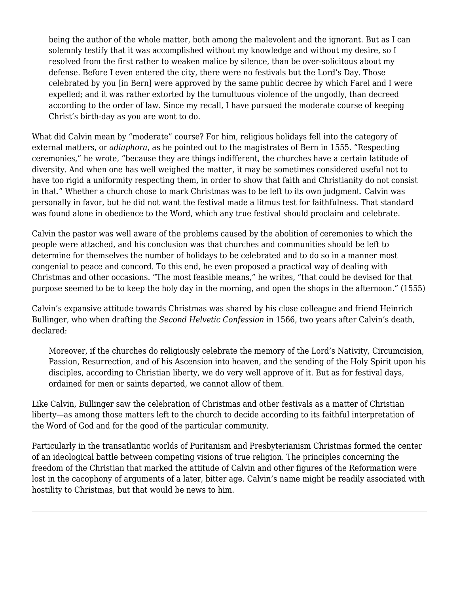being the author of the whole matter, both among the malevolent and the ignorant. But as I can solemnly testify that it was accomplished without my knowledge and without my desire, so I resolved from the first rather to weaken malice by silence, than be over-solicitous about my defense. Before I even entered the city, there were no festivals but the Lord's Day. Those celebrated by you [in Bern] were approved by the same public decree by which Farel and I were expelled; and it was rather extorted by the tumultuous violence of the ungodly, than decreed according to the order of law. Since my recall, I have pursued the moderate course of keeping Christ's birth-day as you are wont to do.

What did Calvin mean by "moderate" course? For him, religious holidays fell into the category of external matters, or *adiaphora*, as he pointed out to the magistrates of Bern in 1555. "Respecting ceremonies," he wrote, "because they are things indifferent, the churches have a certain latitude of diversity. And when one has well weighed the matter, it may be sometimes considered useful not to have too rigid a uniformity respecting them, in order to show that faith and Christianity do not consist in that." Whether a church chose to mark Christmas was to be left to its own judgment. Calvin was personally in favor, but he did not want the festival made a litmus test for faithfulness. That standard was found alone in obedience to the Word, which any true festival should proclaim and celebrate.

Calvin the pastor was well aware of the problems caused by the abolition of ceremonies to which the people were attached, and his conclusion was that churches and communities should be left to determine for themselves the number of holidays to be celebrated and to do so in a manner most congenial to peace and concord. To this end, he even proposed a practical way of dealing with Christmas and other occasions. "The most feasible means," he writes, "that could be devised for that purpose seemed to be to keep the holy day in the morning, and open the shops in the afternoon." (1555)

Calvin's expansive attitude towards Christmas was shared by his close colleague and friend Heinrich Bullinger, who when drafting the *Second Helvetic Confession* in 1566, two years after Calvin's death, declared:

Moreover, if the churches do religiously celebrate the memory of the Lord's Nativity, Circumcision, Passion, Resurrection, and of his Ascension into heaven, and the sending of the Holy Spirit upon his disciples, according to Christian liberty, we do very well approve of it. But as for festival days, ordained for men or saints departed, we cannot allow of them.

Like Calvin, Bullinger saw the celebration of Christmas and other festivals as a matter of Christian liberty—as among those matters left to the church to decide according to its faithful interpretation of the Word of God and for the good of the particular community.

Particularly in the transatlantic worlds of Puritanism and Presbyterianism Christmas formed the center of an ideological battle between competing visions of true religion. The principles concerning the freedom of the Christian that marked the attitude of Calvin and other figures of the Reformation were lost in the cacophony of arguments of a later, bitter age. Calvin's name might be readily associated with hostility to Christmas, but that would be news to him.